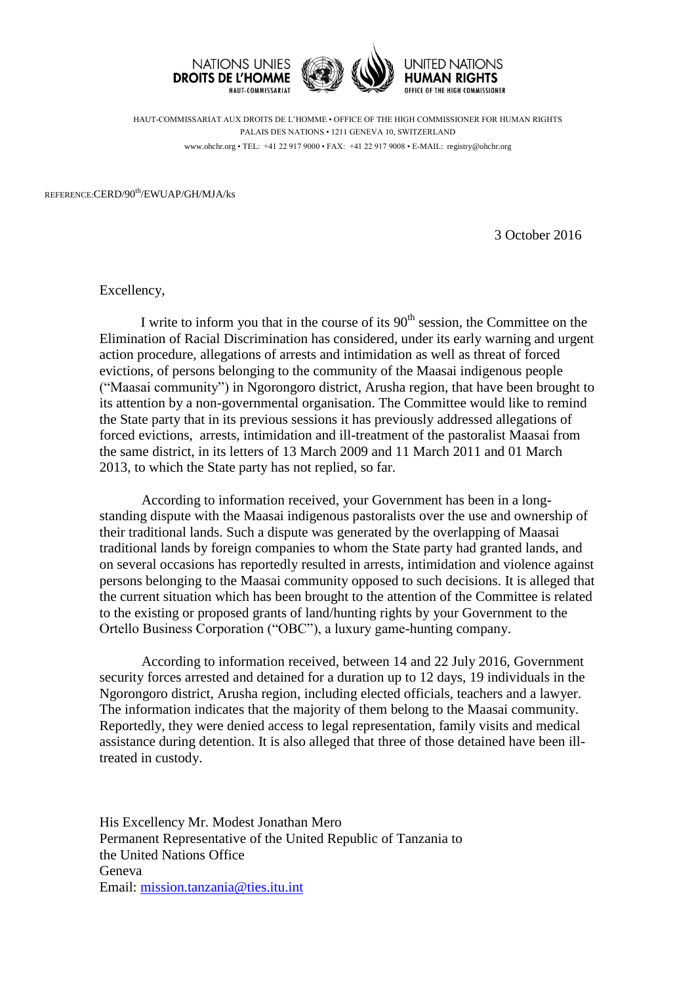



HUMAN RIGHTS **OFFICE OF THE HIGH COMMISSIONER** 

HAUT-COMMISSARIAT AUX DROITS DE L'HOMME • OFFICE OF THE HIGH COMMISSIONER FOR HUMAN RIGHTS PALAIS DES NATIONS • 1211 GENEVA 10, SWITZERLAND www.ohchr.org • TEL: +41 22 917 9000 • FAX: +41 22 917 9008 • E-MAIL: registry@ohchr.org

REFERENCE:CERD/90th/EWUAP/GH/MJA/ks

3 October 2016

Excellency,

I write to inform you that in the course of its  $90<sup>th</sup>$  session, the Committee on the Elimination of Racial Discrimination has considered, under its early warning and urgent action procedure, allegations of arrests and intimidation as well as threat of forced evictions, of persons belonging to the community of the Maasai indigenous people ("Maasai community") in Ngorongoro district, Arusha region, that have been brought to its attention by a non-governmental organisation. The Committee would like to remind the State party that in its previous sessions it has previously addressed allegations of forced evictions, arrests, intimidation and ill-treatment of the pastoralist Maasai from the same district, in its letters of 13 March 2009 and 11 March 2011 and 01 March 2013, to which the State party has not replied, so far.

According to information received, your Government has been in a longstanding dispute with the Maasai indigenous pastoralists over the use and ownership of their traditional lands. Such a dispute was generated by the overlapping of Maasai traditional lands by foreign companies to whom the State party had granted lands, and on several occasions has reportedly resulted in arrests, intimidation and violence against persons belonging to the Maasai community opposed to such decisions. It is alleged that the current situation which has been brought to the attention of the Committee is related to the existing or proposed grants of land/hunting rights by your Government to the Ortello Business Corporation ("OBC"), a luxury game-hunting company.

According to information received, between 14 and 22 July 2016, Government security forces arrested and detained for a duration up to 12 days, 19 individuals in the Ngorongoro district, Arusha region, including elected officials, teachers and a lawyer. The information indicates that the majority of them belong to the Maasai community. Reportedly, they were denied access to legal representation, family visits and medical assistance during detention. It is also alleged that three of those detained have been illtreated in custody.

His Excellency Mr. Modest Jonathan Mero Permanent Representative of the United Republic of Tanzania to the United Nations Office Geneva Email: [mission.tanzania@ties.itu.int](mailto:mission.tanzania@ties.itu.int)